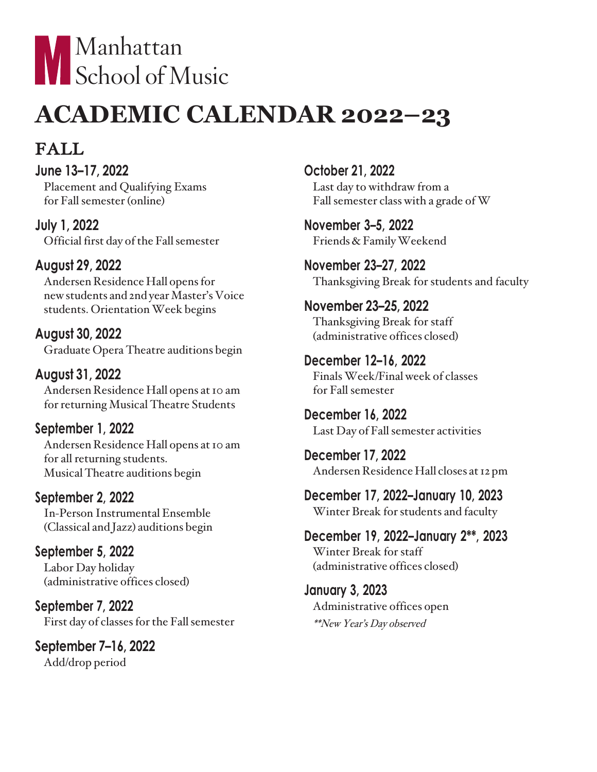

# **ACADEMIC CALENDAR 2022–23**

## FALL

**June 13–17, 2022** Placement and Qualifying Exams for Fall semester (online)

**July 1, 2022** Official first day of the Fall semester

### **August 29, 2022**

Andersen Residence Hall opensfor new students and 2nd year Master's Voice students. Orientation Week begins

**August 30, 2022** Graduate Opera Theatre auditions begin

**August 31, 2022** Andersen Residence Hall opens at 10 am for returning Musical Theatre Students

**September 1, 2022** Andersen Residence Hall opens at 10 am for all returning students. Musical Theatre auditions begin

**September 2, 2022** In-Person Instrumental Ensemble (Classical and Jazz) auditions begin

**September 5, 2022** Labor Day holiday (administrative offices closed)

**September 7, 2022** First day of classes for the Fall semester

**September 7–16, 2022** Add/drop period

**October 21, 2022** Last day to withdraw from a Fall semester class with a grade of W

**November 3–5, 2022** Friends&FamilyWeekend

**November 23–27, 2022** Thanksgiving Break for students and faculty

**November 23–25, 2022** Thanksgiving Break for staff (administrative offices closed)

**December 12–16, 2022** FinalsWeek/Finalweek of classes for Fall semester

**December 16, 2022** Last Day of Fall semester activities

**December 17, 2022** Andersen Residence Hall closes at 12 pm

**December 17, 2022–January 10, 2023** Winter Break for students and faculty

**December 19, 2022–January 2\*\*, 2023** Winter Break for staff (administrative offices closed)

**January 3, 2023** Administrative offices open \*\*New Year's Day observed